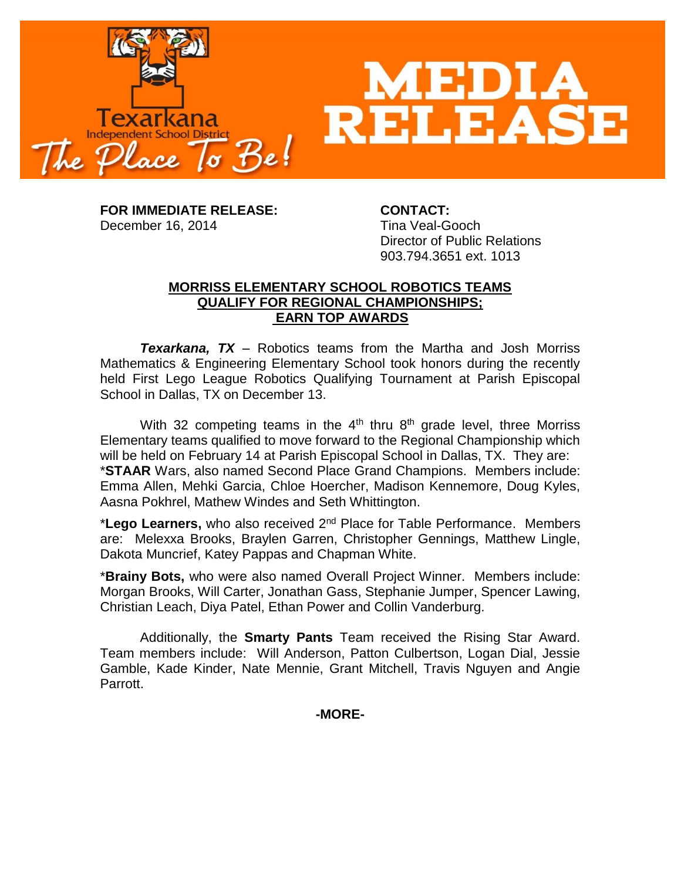

**FOR IMMEDIATE RELEASE: CONTACT:** December 16, 2014 Tina Veal-Gooch

Director of Public Relations 903.794.3651 ext. 1013

## **MORRISS ELEMENTARY SCHOOL ROBOTICS TEAMS QUALIFY FOR REGIONAL CHAMPIONSHIPS; EARN TOP AWARDS**

*Texarkana, TX* – Robotics teams from the Martha and Josh Morriss Mathematics & Engineering Elementary School took honors during the recently held First Lego League Robotics Qualifying Tournament at Parish Episcopal School in Dallas, TX on December 13.

With 32 competing teams in the  $4<sup>th</sup>$  thru  $8<sup>th</sup>$  grade level, three Morriss Elementary teams qualified to move forward to the Regional Championship which will be held on February 14 at Parish Episcopal School in Dallas, TX. They are: \***STAAR** Wars, also named Second Place Grand Champions. Members include: Emma Allen, Mehki Garcia, Chloe Hoercher, Madison Kennemore, Doug Kyles, Aasna Pokhrel, Mathew Windes and Seth Whittington.

\***Lego Learners,** who also received 2nd Place for Table Performance. Members are: Melexxa Brooks, Braylen Garren, Christopher Gennings, Matthew Lingle, Dakota Muncrief, Katey Pappas and Chapman White.

\***Brainy Bots,** who were also named Overall Project Winner. Members include: Morgan Brooks, Will Carter, Jonathan Gass, Stephanie Jumper, Spencer Lawing, Christian Leach, Diya Patel, Ethan Power and Collin Vanderburg.

Additionally, the **Smarty Pants** Team received the Rising Star Award. Team members include: Will Anderson, Patton Culbertson, Logan Dial, Jessie Gamble, Kade Kinder, Nate Mennie, Grant Mitchell, Travis Nguyen and Angie Parrott.

**-MORE-**